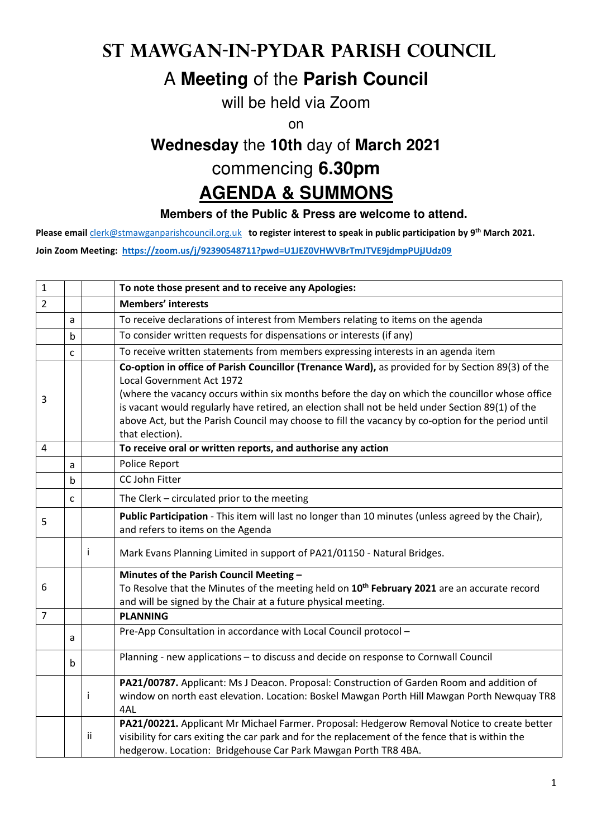## **St Mawgan-in-Pydar Parish Council**

## A **Meeting** of the **Parish Council**

will be held via Zoom

on

# **Wednesday** the **10th** day of **March 2021** commencing **6.30pm**

## **AGENDA & SUMMONS**

#### **Members of the Public & Press are welcome to attend.**

**Please email** clerk@stmawganparishcouncil.org.uk **to register interest to speak in public participation by 9th March 2021.** 

**Join Zoom Meeting: https://zoom.us/j/92390548711?pwd=U1JEZ0VHWVBrTmJTVE9jdmpPUjJUdz09**

| $\mathbf{1}$   |             |    | To note those present and to receive any Apologies:                                                                                                                                                                                                                                                                                                                                                                                                            |
|----------------|-------------|----|----------------------------------------------------------------------------------------------------------------------------------------------------------------------------------------------------------------------------------------------------------------------------------------------------------------------------------------------------------------------------------------------------------------------------------------------------------------|
| $\overline{2}$ |             |    | <b>Members' interests</b>                                                                                                                                                                                                                                                                                                                                                                                                                                      |
|                | a           |    | To receive declarations of interest from Members relating to items on the agenda                                                                                                                                                                                                                                                                                                                                                                               |
|                | b           |    | To consider written requests for dispensations or interests (if any)                                                                                                                                                                                                                                                                                                                                                                                           |
|                | C           |    | To receive written statements from members expressing interests in an agenda item                                                                                                                                                                                                                                                                                                                                                                              |
| 3              |             |    | Co-option in office of Parish Councillor (Trenance Ward), as provided for by Section 89(3) of the<br>Local Government Act 1972<br>(where the vacancy occurs within six months before the day on which the councillor whose office<br>is vacant would regularly have retired, an election shall not be held under Section 89(1) of the<br>above Act, but the Parish Council may choose to fill the vacancy by co-option for the period until<br>that election). |
| $\overline{4}$ |             |    | To receive oral or written reports, and authorise any action                                                                                                                                                                                                                                                                                                                                                                                                   |
|                | a           |    | Police Report                                                                                                                                                                                                                                                                                                                                                                                                                                                  |
|                | $\mathsf b$ |    | CC John Fitter                                                                                                                                                                                                                                                                                                                                                                                                                                                 |
|                | C           |    | The Clerk - circulated prior to the meeting                                                                                                                                                                                                                                                                                                                                                                                                                    |
| 5              |             |    | Public Participation - This item will last no longer than 10 minutes (unless agreed by the Chair),<br>and refers to items on the Agenda                                                                                                                                                                                                                                                                                                                        |
|                |             | Ť  | Mark Evans Planning Limited in support of PA21/01150 - Natural Bridges.                                                                                                                                                                                                                                                                                                                                                                                        |
|                |             |    | Minutes of the Parish Council Meeting -                                                                                                                                                                                                                                                                                                                                                                                                                        |
| 6              |             |    | To Resolve that the Minutes of the meeting held on 10 <sup>th</sup> February 2021 are an accurate record<br>and will be signed by the Chair at a future physical meeting.                                                                                                                                                                                                                                                                                      |
| $\overline{7}$ |             |    | <b>PLANNING</b>                                                                                                                                                                                                                                                                                                                                                                                                                                                |
|                | a           |    | Pre-App Consultation in accordance with Local Council protocol -                                                                                                                                                                                                                                                                                                                                                                                               |
|                | b           |    | Planning - new applications - to discuss and decide on response to Cornwall Council                                                                                                                                                                                                                                                                                                                                                                            |
|                |             | Ť  | PA21/00787. Applicant: Ms J Deacon. Proposal: Construction of Garden Room and addition of<br>window on north east elevation. Location: Boskel Mawgan Porth Hill Mawgan Porth Newquay TR8<br>4AL                                                                                                                                                                                                                                                                |
|                |             | ii | PA21/00221. Applicant Mr Michael Farmer. Proposal: Hedgerow Removal Notice to create better<br>visibility for cars exiting the car park and for the replacement of the fence that is within the<br>hedgerow. Location: Bridgehouse Car Park Mawgan Porth TR8 4BA.                                                                                                                                                                                              |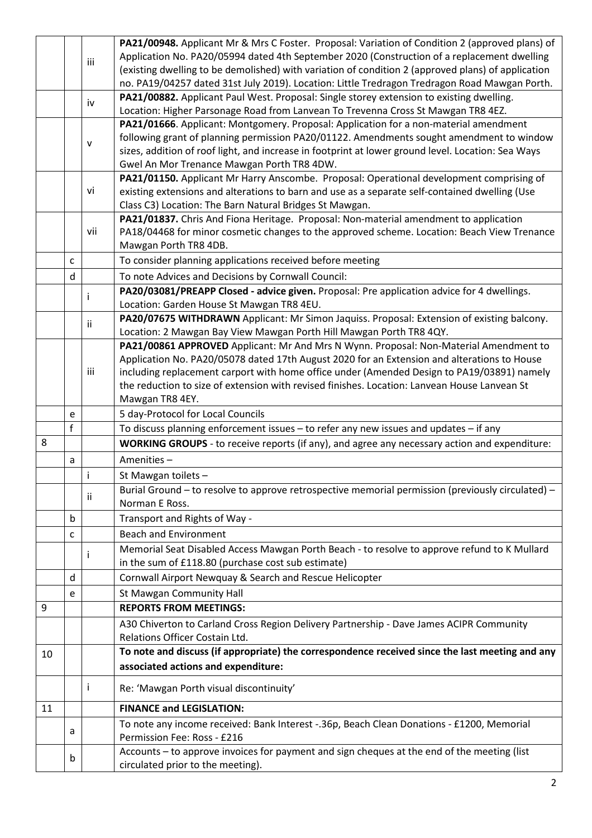|    |              |     | PA21/00948. Applicant Mr & Mrs C Foster. Proposal: Variation of Condition 2 (approved plans) of                           |
|----|--------------|-----|---------------------------------------------------------------------------------------------------------------------------|
|    |              | iii | Application No. PA20/05994 dated 4th September 2020 (Construction of a replacement dwelling                               |
|    |              |     | (existing dwelling to be demolished) with variation of condition 2 (approved plans) of application                        |
|    |              |     | no. PA19/04257 dated 31st July 2019). Location: Little Tredragon Tredragon Road Mawgan Porth.                             |
|    |              | iv  | PA21/00882. Applicant Paul West. Proposal: Single storey extension to existing dwelling.                                  |
|    |              |     | Location: Higher Parsonage Road from Lanvean To Trevenna Cross St Mawgan TR8 4EZ.                                         |
|    |              |     | PA21/01666. Applicant: Montgomery. Proposal: Application for a non-material amendment                                     |
|    |              | v   | following grant of planning permission PA20/01122. Amendments sought amendment to window                                  |
|    |              |     | sizes, addition of roof light, and increase in footprint at lower ground level. Location: Sea Ways                        |
|    |              |     | Gwel An Mor Trenance Mawgan Porth TR8 4DW.                                                                                |
|    |              |     | PA21/01150. Applicant Mr Harry Anscombe. Proposal: Operational development comprising of                                  |
|    |              | vi  | existing extensions and alterations to barn and use as a separate self-contained dwelling (Use                            |
|    |              |     | Class C3) Location: The Barn Natural Bridges St Mawgan.                                                                   |
|    |              |     | PA21/01837. Chris And Fiona Heritage. Proposal: Non-material amendment to application                                     |
|    |              | vii | PA18/04468 for minor cosmetic changes to the approved scheme. Location: Beach View Trenance                               |
|    |              |     | Mawgan Porth TR8 4DB.                                                                                                     |
|    | $\mathsf{C}$ |     | To consider planning applications received before meeting                                                                 |
|    | $\mathsf{d}$ |     | To note Advices and Decisions by Cornwall Council:                                                                        |
|    |              | I   | PA20/03081/PREAPP Closed - advice given. Proposal: Pre application advice for 4 dwellings.                                |
|    |              |     | Location: Garden House St Mawgan TR8 4EU.                                                                                 |
|    |              | ii. | PA20/07675 WITHDRAWN Applicant: Mr Simon Jaquiss. Proposal: Extension of existing balcony.                                |
|    |              |     | Location: 2 Mawgan Bay View Mawgan Porth Hill Mawgan Porth TR8 4QY.                                                       |
|    |              |     | PA21/00861 APPROVED Applicant: Mr And Mrs N Wynn. Proposal: Non-Material Amendment to                                     |
|    |              |     | Application No. PA20/05078 dated 17th August 2020 for an Extension and alterations to House                               |
|    |              | iii | including replacement carport with home office under (Amended Design to PA19/03891) namely                                |
|    |              |     | the reduction to size of extension with revised finishes. Location: Lanvean House Lanvean St                              |
|    |              |     | Mawgan TR8 4EY.                                                                                                           |
|    | e            |     | 5 day-Protocol for Local Councils                                                                                         |
|    | $\mathsf{f}$ |     | To discuss planning enforcement issues - to refer any new issues and updates - if any                                     |
| 8  |              |     | WORKING GROUPS - to receive reports (if any), and agree any necessary action and expenditure:                             |
|    | a            |     | Amenities-                                                                                                                |
|    |              | Ť   | St Mawgan toilets -                                                                                                       |
|    |              |     | Burial Ground - to resolve to approve retrospective memorial permission (previously circulated) -                         |
|    |              | ii. | Norman E Ross.                                                                                                            |
|    | b            |     | Transport and Rights of Way -                                                                                             |
|    | C            |     | <b>Beach and Environment</b>                                                                                              |
|    |              |     | Memorial Seat Disabled Access Mawgan Porth Beach - to resolve to approve refund to K Mullard                              |
|    |              | T   | in the sum of £118.80 (purchase cost sub estimate)                                                                        |
|    | d            |     | Cornwall Airport Newquay & Search and Rescue Helicopter                                                                   |
|    | e            |     | St Mawgan Community Hall                                                                                                  |
| 9  |              |     | <b>REPORTS FROM MEETINGS:</b>                                                                                             |
|    |              |     |                                                                                                                           |
|    |              |     | A30 Chiverton to Carland Cross Region Delivery Partnership - Dave James ACIPR Community<br>Relations Officer Costain Ltd. |
|    |              |     | To note and discuss (if appropriate) the correspondence received since the last meeting and any                           |
| 10 |              |     |                                                                                                                           |
|    |              |     | associated actions and expenditure:                                                                                       |
|    |              |     |                                                                                                                           |
|    |              | Ť   | Re: 'Mawgan Porth visual discontinuity'                                                                                   |
| 11 |              |     | <b>FINANCE and LEGISLATION:</b>                                                                                           |
|    |              |     | To note any income received: Bank Interest -. 36p, Beach Clean Donations - £1200, Memorial                                |
|    | a            |     | Permission Fee: Ross - £216                                                                                               |
|    | b            |     | Accounts - to approve invoices for payment and sign cheques at the end of the meeting (list                               |